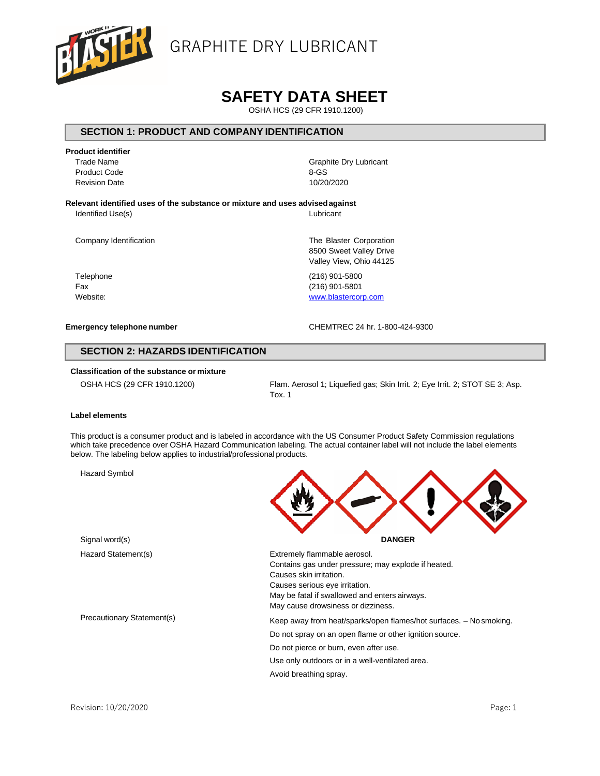

# **SAFETY DATA SHEET**

OSHA HCS (29 CFR 1910.1200)

### **SECTION 1: PRODUCT AND COMPANY IDENTIFICATION**

**Product identifier** Product Code

Revision Date

Trade Name Graphite Dry Lubricant 8-GS 10/20/2020

**Relevant identified uses of the substance or mixture and uses advisedagainst**

Identified Use(s) Lubricant

8500 Sweet Valley Drive Valley View, Ohio 44125

Company Identification The Blaster Corporation The Blaster Corporation

Telephone (216) 901-5800 Fax (216) 901-5801 Website: [www.blastercorp.com](http://www.blastercorp.com/)

#### **Emergency telephone number** CHEMTREC 24 hr. 1-800-424-9300

### **SECTION 2: HAZARDS IDENTIFICATION**

### **Classification of the substance or mixture**

OSHA HCS (29 CFR 1910.1200) Flam. Aerosol 1; Liquefied gas; Skin Irrit. 2; Eye Irrit. 2; STOT SE 3; Asp. Tox. 1

### **Label elements**

This product is a consumer product and is labeled in accordance with the US Consumer Product Safety Commission regulations which take precedence over OSHA Hazard Communication labeling. The actual container label will not include the label elements below. The labeling below applies to industrial/professional products.

Hazard Symbol



| Hazard Statement(s)        | Extremely flammable aerosol.<br>Contains gas under pressure; may explode if heated.<br>Causes skin irritation.<br>Causes serious eye irritation.<br>May be fatal if swallowed and enters airways.<br>May cause drowsiness or dizziness. |  |
|----------------------------|-----------------------------------------------------------------------------------------------------------------------------------------------------------------------------------------------------------------------------------------|--|
| Precautionary Statement(s) | Keep away from heat/sparks/open flames/hot surfaces. - No smoking.                                                                                                                                                                      |  |
|                            | Do not spray on an open flame or other ignition source.                                                                                                                                                                                 |  |
|                            | Do not pierce or burn, even after use.                                                                                                                                                                                                  |  |
|                            | Use only outdoors or in a well-ventilated area.                                                                                                                                                                                         |  |
|                            | Avoid breathing spray.                                                                                                                                                                                                                  |  |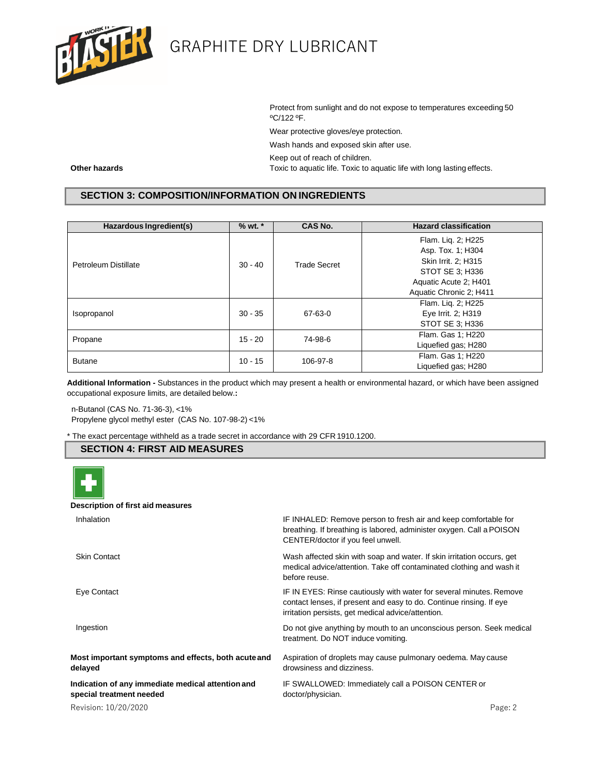

Protect from sunlight and do not expose to temperatures exceeding 50 ºC/122 ºF.

Wear protective gloves/eye protection.

Wash hands and exposed skin after use.

Keep out of reach of children.

**Other hazards** Toxic to aquatic life. Toxic to aquatic life with long lasting effects.

# **SECTION 3: COMPOSITION/INFORMATION ON INGREDIENTS**

| Hazardous Ingredient(s) | $%$ wt. $*$          | CAS No.             | <b>Hazard classification</b> |
|-------------------------|----------------------|---------------------|------------------------------|
|                         |                      | <b>Trade Secret</b> | Flam. Lig. 2; H225           |
|                         |                      |                     | Asp. Tox. 1; H304            |
| Petroleum Distillate    | $30 - 40$            |                     | Skin Irrit. 2; H315          |
|                         |                      |                     | STOT SE 3: H336              |
|                         |                      |                     | Aquatic Acute 2; H401        |
|                         |                      |                     | Aquatic Chronic 2; H411      |
|                         |                      |                     | Flam. Lig. 2; H225           |
| Isopropanol             | $30 - 35$<br>67-63-0 | Eye Irrit. 2; H319  |                              |
|                         |                      |                     | STOT SE 3: H336              |
| Propane                 | $15 - 20$            | 74-98-6             | Flam. Gas 1; H220            |
|                         |                      |                     | Liquefied gas; H280          |
| <b>Butane</b>           | $10 - 15$            | 106-97-8            | Flam. Gas 1; H220            |
|                         |                      |                     | Liquefied gas; H280          |

**Additional Information -** Substances in the product which may present a health or environmental hazard, or which have been assigned occupational exposure limits, are detailed below.**:**

n-Butanol (CAS No. 71-36-3), <1% Propylene glycol methyl ester (CAS No. 107-98-2) <1%

\* The exact percentage withheld as a trade secret in accordance with 29 CFR 1910.1200.

# **SECTION 4: FIRST AID MEASURES**



#### **Description of first aid measures**

| Inhalation                                                                    | IF INHALED: Remove person to fresh air and keep comfortable for<br>breathing. If breathing is labored, administer oxygen. Call a POISON<br>CENTER/doctor if you feel unwell.                     |
|-------------------------------------------------------------------------------|--------------------------------------------------------------------------------------------------------------------------------------------------------------------------------------------------|
| <b>Skin Contact</b>                                                           | Wash affected skin with soap and water. If skin irritation occurs, get<br>medical advice/attention. Take off contaminated clothing and wash it<br>before reuse.                                  |
| Eye Contact                                                                   | IF IN EYES: Rinse cautiously with water for several minutes. Remove<br>contact lenses, if present and easy to do. Continue rinsing. If eye<br>irritation persists, get medical advice/attention. |
| Ingestion                                                                     | Do not give anything by mouth to an unconscious person. Seek medical<br>treatment. Do NOT induce vomiting.                                                                                       |
| Most important symptoms and effects, both acute and<br>delayed                | Aspiration of droplets may cause pulmonary oedema. May cause<br>drowsiness and dizziness.                                                                                                        |
| Indication of any immediate medical attention and<br>special treatment needed | IF SWALLOWED: Immediately call a POISON CENTER or<br>doctor/physician.                                                                                                                           |
| Revision: 10/20/2020                                                          | Page: 2                                                                                                                                                                                          |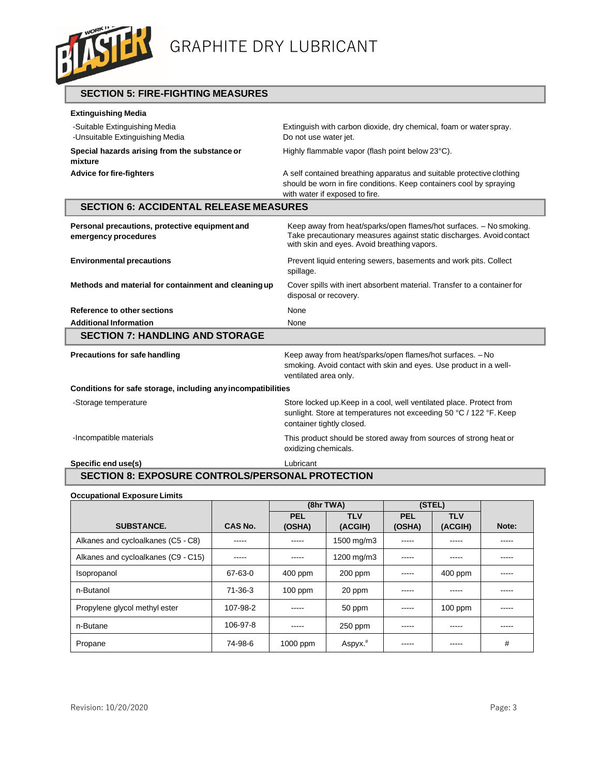

**SECTION 5: FIRE-FIGHTING MEASURES**

| <b>Extinguishing Media</b>                                             |                                                                                                                                                                                           |
|------------------------------------------------------------------------|-------------------------------------------------------------------------------------------------------------------------------------------------------------------------------------------|
| -Suitable Extinguishing Media<br>-Unsuitable Extinguishing Media       | Extinguish with carbon dioxide, dry chemical, foam or water spray.<br>Do not use water jet.                                                                                               |
| Special hazards arising from the substance or<br>mixture               | Highly flammable vapor (flash point below 23°C).                                                                                                                                          |
| <b>Advice for fire-fighters</b>                                        | A self contained breathing apparatus and suitable protective clothing<br>should be worn in fire conditions. Keep containers cool by spraying<br>with water if exposed to fire.            |
| <b>SECTION 6: ACCIDENTAL RELEASE MEASURES</b>                          |                                                                                                                                                                                           |
| Personal precautions, protective equipment and<br>emergency procedures | Keep away from heat/sparks/open flames/hot surfaces. - No smoking.<br>Take precautionary measures against static discharges. Avoid contact<br>with skin and eyes. Avoid breathing vapors. |
| <b>Environmental precautions</b>                                       | Prevent liquid entering sewers, basements and work pits. Collect<br>spillage.                                                                                                             |
| Methods and material for containment and cleaning up                   | Cover spills with inert absorbent material. Transfer to a container for<br>disposal or recovery.                                                                                          |
| Reference to other sections                                            | None                                                                                                                                                                                      |
| <b>Additional Information</b>                                          | None                                                                                                                                                                                      |
| <b>SECTION 7: HANDLING AND STORAGE</b>                                 |                                                                                                                                                                                           |
| Precautions for safe handling                                          | Keep away from heat/sparks/open flames/hot surfaces. - No<br>smoking. Avoid contact with skin and eyes. Use product in a well-<br>ventilated area only.                                   |
| Conditions for safe storage, including any incompatibilities           |                                                                                                                                                                                           |
| -Storage temperature                                                   | Store locked up. Keep in a cool, well ventilated place. Protect from<br>sunlight. Store at temperatures not exceeding 50 °C / 122 °F. Keep<br>container tightly closed.                   |
| -Incompatible materials                                                | This product should be stored away from sources of strong heat or<br>oxidizing chemicals.                                                                                                 |
| Specific end use(s)                                                    | Lubricant                                                                                                                                                                                 |

# **SECTION 8: EXPOSURE CONTROLS/PERSONAL PROTECTION**

| <b>Occupational Exposure Limits</b> |          |           |            |            |            |       |
|-------------------------------------|----------|-----------|------------|------------|------------|-------|
|                                     |          |           | (8hr TWA)  |            | (STEL)     |       |
|                                     |          | PEL       | <b>TLV</b> | <b>PEL</b> | <b>TLV</b> |       |
| <b>SUBSTANCE.</b>                   | CAS No.  | (OSHA)    | (ACGIH)    | (OSHA)     | (ACGIH)    | Note: |
| Alkanes and cycloalkanes (C5 - C8)  |          | -----     | 1500 mg/m3 | -----      | -----      | ----- |
| Alkanes and cycloalkanes (C9 - C15) | -----    | -----     | 1200 mg/m3 | -----      | -----      | ----- |
| Isopropanol                         | 67-63-0  | $400$ ppm | 200 ppm    | -----      | 400 ppm    | ----- |
| n-Butanol                           | 71-36-3  | $100$ ppm | 20 ppm     | -----      | -----      | ----- |
| Propylene glycol methyl ester       | 107-98-2 | -----     | 50 ppm     | -----      | $100$ ppm  | ----- |
| n-Butane                            | 106-97-8 | -----     | 250 ppm    | -----      | -----      | ----- |
| Propane                             | 74-98-6  | 1000 ppm  | $Aspyx.*$  | -----      | -----      | #     |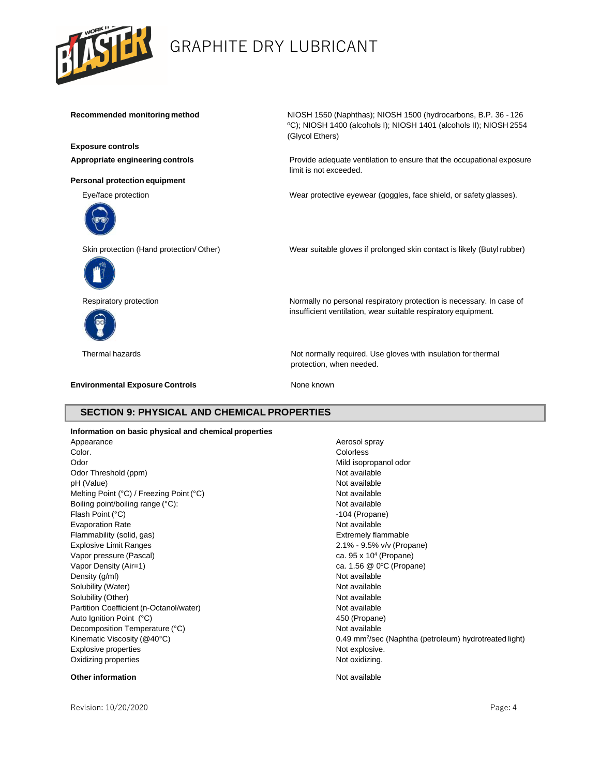

**Exposure controls**

**Personal protection equipment**



**Recommended monitoring method** NIOSH 1550 (Naphthas); NIOSH 1500 (hydrocarbons, B.P. 36 - 126 ºC); NIOSH 1400 (alcohols I); NIOSH 1401 (alcohols II); NIOSH 2554 (Glycol Ethers)

**Appropriate engineering controls** Provide adequate ventilation to ensure that the occupational exposure limit is not exceeded.

Eye/face protection Wear protective eyewear (goggles, face shield, or safety glasses).

Skin protection (Hand protection/ Other) Wear suitable gloves if prolonged skin contact is likely (Butyl rubber)





Respiratory protection **Normally no personal respiratory protection** is necessary. In case of

Thermal hazards **Not normally required.** Use gloves with insulation for thermal protection, when needed.

insufficient ventilation, wear suitable respiratory equipment.

**Environmental Exposure Controls** None known

## **SECTION 9: PHYSICAL AND CHEMICAL PROPERTIES**

**Information on basic physical and chemical properties** Appearance Appearance Aerosol spray Color. Colorless Odor **Mild isopropanol odor** Mild isopropanol odor Odor Threshold (ppm) Not available pH (Value) Not available Melting Point (°C) / Freezing Point (°C) Not available Boiling point/boiling range (°C): Not available Not available Flash Point (°C) **105 ann am t-aonaich an t-aonaich ann am t-aonaich ann am t-aonaich ann am t-aonaich ann am t-aonaich ann am t-aonaich ann am t-aonaich ann an t-aonaich ann an t-aonaich ann am t-aonaich ann an t-aonaich** Evaporation Rate Not available Not available Not available Flammability (solid, gas) The Controller School and The Extremely flammable Extremely flammable Explosive Limit Ranges 2.1% - 9.5% v/v (Propane) Vapor pressure (Pascal) Vapor Density (Air=1) ca. 1.56 @ 0°C (Propane) Density (g/ml) Not available Solubility (Water) Not available Solubility (Other) Not available Partition Coefficient (n-Octanol/water) Not available Auto Ignition Point (°C) 450 (Propane) Decomposition Temperature (°C) Not available Kinematic Viscosity ( $@40^{\circ}$ C) Explosive properties Not explosive. Oxidizing properties Not oxidizing.

### **Other information information in the contract of the contract of the contract of the contract of the contract of the contract of the contract of the contract of the contract of the contract of the contract of the cont**

Revision: 10/20/2020 Page: 4

ca.  $95 \times 10^4$  (Propane) 0.49 mm<sup>2</sup>/sec (Naphtha (petroleum) hydrotreated light)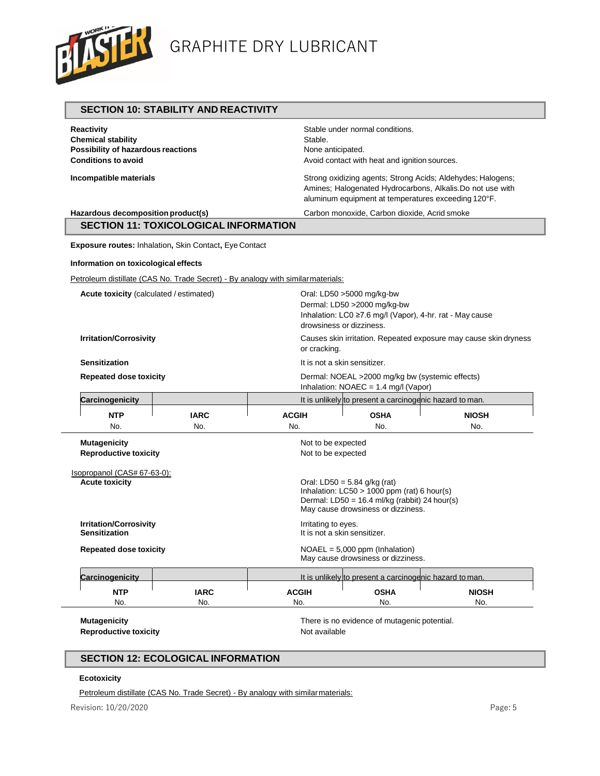

|                                                                                                                    | <b>SECTION 10: STABILITY AND REACTIVITY</b>                                                                                                                                                             |                                                                                           |                                                                                                                                                                                 |              |
|--------------------------------------------------------------------------------------------------------------------|---------------------------------------------------------------------------------------------------------------------------------------------------------------------------------------------------------|-------------------------------------------------------------------------------------------|---------------------------------------------------------------------------------------------------------------------------------------------------------------------------------|--------------|
| <b>Reactivity</b><br><b>Chemical stability</b><br>Possibility of hazardous reactions<br><b>Conditions to avoid</b> |                                                                                                                                                                                                         | Stable.                                                                                   | Stable under normal conditions.<br>None anticipated.<br>Avoid contact with heat and ignition sources.                                                                           |              |
| Incompatible materials                                                                                             |                                                                                                                                                                                                         |                                                                                           | Strong oxidizing agents; Strong Acids; Aldehydes; Halogens;<br>Amines; Halogenated Hydrocarbons, Alkalis.Do not use with<br>aluminum equipment at temperatures exceeding 120°F. |              |
| Hazardous decomposition product(s)                                                                                 |                                                                                                                                                                                                         |                                                                                           | Carbon monoxide, Carbon dioxide, Acrid smoke                                                                                                                                    |              |
|                                                                                                                    | <b>SECTION 11: TOXICOLOGICAL INFORMATION</b>                                                                                                                                                            |                                                                                           |                                                                                                                                                                                 |              |
|                                                                                                                    | Exposure routes: Inhalation, Skin Contact, Eye Contact                                                                                                                                                  |                                                                                           |                                                                                                                                                                                 |              |
| Information on toxicological effects                                                                               |                                                                                                                                                                                                         |                                                                                           |                                                                                                                                                                                 |              |
|                                                                                                                    | Petroleum distillate (CAS No. Trade Secret) - By analogy with similar materials:                                                                                                                        |                                                                                           |                                                                                                                                                                                 |              |
| <b>Acute toxicity</b> (calculated / estimated)                                                                     |                                                                                                                                                                                                         |                                                                                           | Oral: LD50 >5000 mg/kg-bw<br>Dermal: LD50 >2000 mg/kg-bw<br>Inhalation: LC0 ≥7.6 mg/l (Vapor), 4-hr. rat - May cause<br>drowsiness or dizziness.                                |              |
| <b>Irritation/Corrosivity</b>                                                                                      | Causes skin irritation. Repeated exposure may cause skin dryness<br>or cracking.                                                                                                                        |                                                                                           |                                                                                                                                                                                 |              |
| <b>Sensitization</b>                                                                                               | It is not a skin sensitizer.                                                                                                                                                                            |                                                                                           |                                                                                                                                                                                 |              |
| <b>Repeated dose toxicity</b>                                                                                      |                                                                                                                                                                                                         | Dermal: NOEAL >2000 mg/kg bw (systemic effects)<br>Inhalation: $NOAEC = 1.4$ mg/l (Vapor) |                                                                                                                                                                                 |              |
| Carcinogenicity                                                                                                    |                                                                                                                                                                                                         |                                                                                           | It is unlikely to present a carcinogenic hazard to man.                                                                                                                         |              |
| <b>NTP</b>                                                                                                         | <b>IARC</b>                                                                                                                                                                                             | <b>ACGIH</b>                                                                              | <b>OSHA</b>                                                                                                                                                                     | <b>NIOSH</b> |
| No.                                                                                                                | No.                                                                                                                                                                                                     | No.                                                                                       | No.                                                                                                                                                                             | No.          |
| <b>Mutagenicity</b><br><b>Reproductive toxicity</b>                                                                |                                                                                                                                                                                                         | Not to be expected<br>Not to be expected                                                  |                                                                                                                                                                                 |              |
| <b>Acute toxicity</b>                                                                                              | Isopropanol (CAS# 67-63-0):<br>Oral: LD50 = $5.84$ g/kg (rat)<br>Inhalation: $LC50 > 1000$ ppm (rat) 6 hour(s)<br>Dermal: LD50 = $16.4$ ml/kg (rabbit) 24 hour(s)<br>May cause drowsiness or dizziness. |                                                                                           |                                                                                                                                                                                 |              |
| <b>Irritation/Corrosivity</b><br><b>Sensitization</b>                                                              | Irritating to eyes.<br>It is not a skin sensitizer.                                                                                                                                                     |                                                                                           |                                                                                                                                                                                 |              |
| <b>Repeated dose toxicity</b>                                                                                      | $NOAEL = 5,000$ ppm (Inhalation)<br>May cause drowsiness or dizziness.                                                                                                                                  |                                                                                           |                                                                                                                                                                                 |              |
| Carcinogenicity                                                                                                    |                                                                                                                                                                                                         |                                                                                           | It is unlikely to present a carcinogenic hazard to man.                                                                                                                         |              |
| <b>NTP</b>                                                                                                         | <b>IARC</b>                                                                                                                                                                                             | <b>ACGIH</b>                                                                              | <b>OSHA</b>                                                                                                                                                                     | <b>NIOSH</b> |
| No.                                                                                                                | No.                                                                                                                                                                                                     | No.                                                                                       | No.                                                                                                                                                                             | No.          |
| <b>Mutagenicity</b><br><b>Reproductive toxicity</b>                                                                |                                                                                                                                                                                                         | Not available                                                                             | There is no evidence of mutagenic potential.                                                                                                                                    |              |

# **SECTION 12: ECOLOGICAL INFORMATION**

# **Ecotoxicity**

Petroleum distillate (CAS No. Trade Secret) - By analogy with similar materials: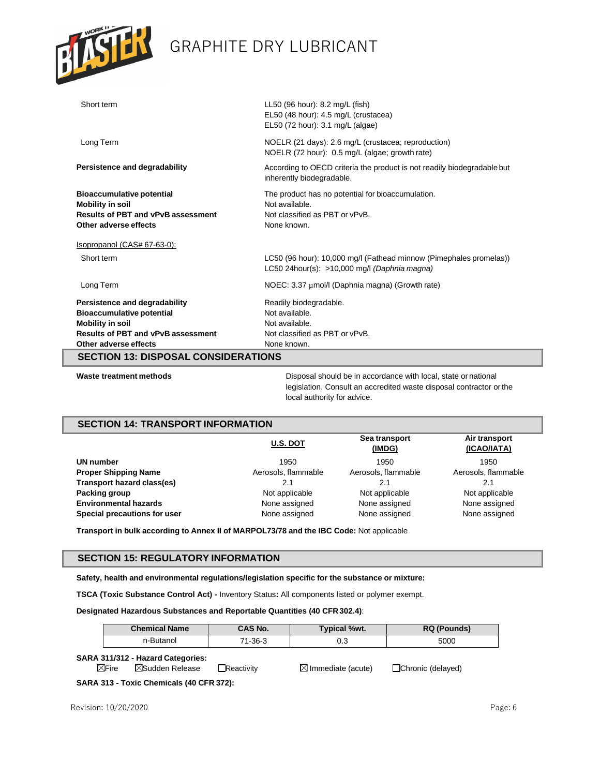

| Short term                                                                                                                                                  | LL50 (96 hour): 8.2 mg/L (fish)<br>EL50 (48 hour): 4.5 mg/L (crustacea)<br>EL50 (72 hour): 3.1 mg/L (algae)          |
|-------------------------------------------------------------------------------------------------------------------------------------------------------------|----------------------------------------------------------------------------------------------------------------------|
| Long Term                                                                                                                                                   | NOELR (21 days): 2.6 mg/L (crustacea; reproduction)<br>NOELR (72 hour): 0.5 mg/L (algae; growth rate)                |
| Persistence and degradability                                                                                                                               | According to OECD criteria the product is not readily biodegradable but<br>inherently biodegradable.                 |
| <b>Bioaccumulative potential</b><br><b>Mobility in soil</b><br><b>Results of PBT and vPvB assessment</b><br>Other adverse effects                           | The product has no potential for bioaccumulation.<br>Not available.<br>Not classified as PBT or vPvB.<br>None known. |
| Isopropanol (CAS# 67-63-0):                                                                                                                                 |                                                                                                                      |
| Short term                                                                                                                                                  | LC50 (96 hour): 10,000 mg/l (Fathead minnow (Pimephales promelas))<br>LC50 24hour(s): $>10,000$ mg/l (Daphnia magna) |
| Long Term                                                                                                                                                   | NOEC: 3.37 µmol/l (Daphnia magna) (Growth rate)                                                                      |
| Persistence and degradability<br><b>Bioaccumulative potential</b><br><b>Mobility in soil</b><br>Results of PBT and vPvB assessment<br>Other adverse effects | Readily biodegradable.<br>Not available.<br>Not available.<br>Not classified as PBT or vPvB.<br>None known.          |
| <b>SECTION 13: DISPOSAL CONSIDERATIONS</b>                                                                                                                  |                                                                                                                      |

**Waste treatment methods** Disposal should be in accordance with local, state or national legislation. Consult an accredited waste disposal contractor orthe local authority for advice.

## **SECTION 14: TRANSPORT INFORMATION**

|                              | <b>U.S. DOT</b>     | Sea transport<br>(IMDG) | Air transport<br>(ICAO/IATA) |
|------------------------------|---------------------|-------------------------|------------------------------|
| UN number                    | 1950                | 1950                    | 1950                         |
| <b>Proper Shipping Name</b>  | Aerosols, flammable | Aerosols, flammable     | Aerosols, flammable          |
| Transport hazard class(es)   | 2.1                 | 2.1                     |                              |
| Packing group                | Not applicable      | Not applicable          | Not applicable               |
| <b>Environmental hazards</b> | None assigned       | None assigned           | None assigned                |
| Special precautions for user | None assigned       | None assigned           | None assigned                |

**Transport in bulk according to Annex II of MARPOL73/78 and the IBC Code:** Not applicable

### **SECTION 15: REGULATORY INFORMATION**

**Safety, health and environmental regulations/legislation specific for the substance or mixture:** 

**TSCA (Toxic Substance Control Act) -** Inventory Status**:** All components listed or polymer exempt.

**Designated Hazardous Substances and Reportable Quantities (40 CFR302.4)**:

| <b>Chemical Name</b>                                                                | CAS No.           | Typical %wt.                  | <b>RQ</b> (Pounds) |
|-------------------------------------------------------------------------------------|-------------------|-------------------------------|--------------------|
| n-Butanol                                                                           | 71-36-3           | 0.3                           | 5000               |
| SARA 311/312 - Hazard Categories:<br>$\boxtimes$ Fire<br>$\boxtimes$ Sudden Release | $\Box$ Reactivitv | $\boxtimes$ Immediate (acute) | □Chronic (delayed) |
| SARA 313 - Toxic Chemicals (40 CFR 372):                                            |                   |                               |                    |